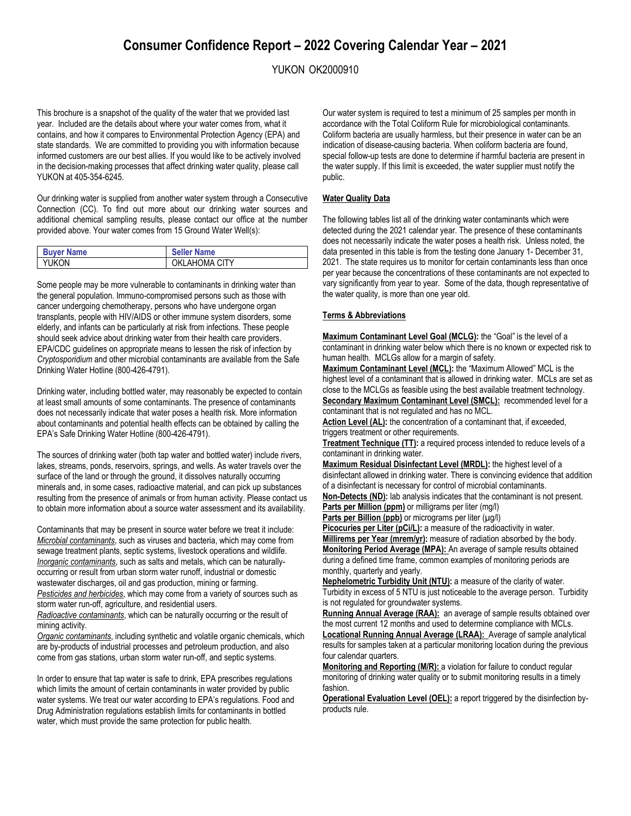# **Consumer Confidence Report – 2022 Covering Calendar Year – 2021**

YUKON OK2000910

This brochure is a snapshot of the quality of the water that we provided last year. Included are the details about where your water comes from, what it contains, and how it compares to Environmental Protection Agency (EPA) and state standards. We are committed to providing you with information because informed customers are our best allies. If you would like to be actively involved in the decision-making processes that affect drinking water quality, please call YUKON at 405-354-6245.

Our drinking water is supplied from another water system through a Consecutive Connection (CC). To find out more about our drinking water sources and additional chemical sampling results, please contact our office at the number provided above. Your water comes from 15 Ground Water Well(s):

| <b>Buyer Name</b> | <b>Seller Name</b> |
|-------------------|--------------------|
| YUKON             | OKLAHOMA CITY      |

Some people may be more vulnerable to contaminants in drinking water than the general population. Immuno-compromised persons such as those with cancer undergoing chemotherapy, persons who have undergone organ transplants, people with HIV/AIDS or other immune system disorders, some elderly, and infants can be particularly at risk from infections. These people should seek advice about drinking water from their health care providers. EPA/CDC guidelines on appropriate means to lessen the risk of infection by *Cryptosporidium* and other microbial contaminants are available from the Safe Drinking Water Hotline (800-426-4791).

Drinking water, including bottled water, may reasonably be expected to contain at least small amounts of some contaminants. The presence of contaminants does not necessarily indicate that water poses a health risk. More information about contaminants and potential health effects can be obtained by calling the EPA's Safe Drinking Water Hotline (800-426-4791).

The sources of drinking water (both tap water and bottled water) include rivers, lakes, streams, ponds, reservoirs, springs, and wells. As water travels over the surface of the land or through the ground, it dissolves naturally occurring minerals and, in some cases, radioactive material, and can pick up substances resulting from the presence of animals or from human activity. Please contact us to obtain more information about a source water assessment and its availability.

Contaminants that may be present in source water before we treat it include: *Microbial contaminants*, such as viruses and bacteria, which may come from sewage treatment plants, septic systems, livestock operations and wildlife. *Inorganic contaminants*, such as salts and metals, which can be naturallyoccurring or result from urban storm water runoff, industrial or domestic wastewater discharges, oil and gas production, mining or farming. *Pesticides and herbicides*, which may come from a variety of sources such as storm water run-off, agriculture, and residential users.

*Radioactive contaminants*, which can be naturally occurring or the result of mining activity.

*Organic contaminants*, including synthetic and volatile organic chemicals, which are by-products of industrial processes and petroleum production, and also come from gas stations, urban storm water run-off, and septic systems.

In order to ensure that tap water is safe to drink, EPA prescribes regulations which limits the amount of certain contaminants in water provided by public water systems. We treat our water according to EPA's regulations. Food and Drug Administration regulations establish limits for contaminants in bottled water, which must provide the same protection for public health.

Our water system is required to test a minimum of 25 samples per month in accordance with the Total Coliform Rule for microbiological contaminants. Coliform bacteria are usually harmless, but their presence in water can be an indication of disease-causing bacteria. When coliform bacteria are found, special follow-up tests are done to determine if harmful bacteria are present in the water supply. If this limit is exceeded, the water supplier must notify the public.

## **Water Quality Data**

The following tables list all of the drinking water contaminants which were detected during the 2021 calendar year. The presence of these contaminants does not necessarily indicate the water poses a health risk. Unless noted, the data presented in this table is from the testing done January 1- December 31, 2021. The state requires us to monitor for certain contaminants less than once per year because the concentrations of these contaminants are not expected to vary significantly from year to year. Some of the data, though representative of the water quality, is more than one year old.

#### **Terms & Abbreviations**

**Maximum Contaminant Level Goal (MCLG):** the "Goal" is the level of a contaminant in drinking water below which there is no known or expected risk to human health. MCLGs allow for a margin of safety.

**Maximum Contaminant Level (MCL):** the "Maximum Allowed" MCL is the highest level of a contaminant that is allowed in drinking water. MCLs are set as close to the MCLGs as feasible using the best available treatment technology. **Secondary Maximum Contaminant Level (SMCL):** recommended level for a contaminant that is not regulated and has no MCL.

**Action Level (AL):** the concentration of a contaminant that, if exceeded, triggers treatment or other requirements.

**Treatment Technique (TT):** a required process intended to reduce levels of a contaminant in drinking water.

**Maximum Residual Disinfectant Level (MRDL):** the highest level of a disinfectant allowed in drinking water. There is convincing evidence that addition of a disinfectant is necessary for control of microbial contaminants.

**Non-Detects (ND):** lab analysis indicates that the contaminant is not present. Parts per Million (ppm) or milligrams per liter (mg/l)

**Parts per Billion (ppb)** or micrograms per liter ( $\mu$ g/l)

**Picocuries per Liter (pCi/L):** a measure of the radioactivity in water. **Millirems per Year (mrem/yr):** measure of radiation absorbed by the body. **Monitoring Period Average (MPA):** An average of sample results obtained during a defined time frame, common examples of monitoring periods are monthly, quarterly and yearly.

**Nephelometric Turbidity Unit (NTU):** a measure of the clarity of water. Turbidity in excess of 5 NTU is just noticeable to the average person. Turbidity is not regulated for groundwater systems.

**Running Annual Average (RAA):** an average of sample results obtained over the most current 12 months and used to determine compliance with MCLs.

**Locational Running Annual Average (LRAA):** Average of sample analytical results for samples taken at a particular monitoring location during the previous four calendar quarters.

**Monitoring and Reporting (M/R):** a violation for failure to conduct regular monitoring of drinking water quality or to submit monitoring results in a timely fashion.

**Operational Evaluation Level (OEL):** a report triggered by the disinfection byproducts rule.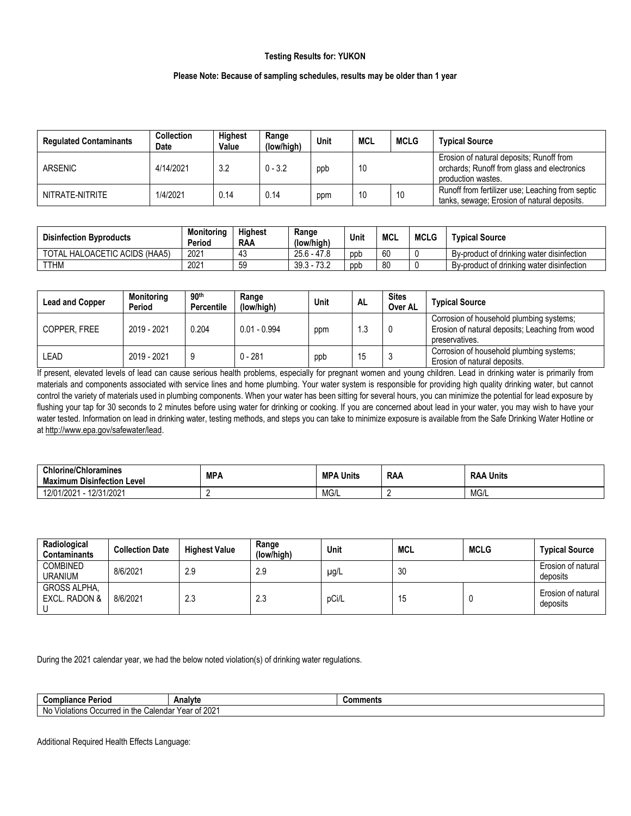## **Testing Results for: YUKON**

## **Please Note: Because of sampling schedules, results may be older than 1 year**

| <b>Regulated Contaminants</b> | <b>Collection</b><br>Date | <b>Highest</b><br>Value | Range<br>(low/high) | Unit | MCL | <b>MCLG</b> | <b>Typical Source</b>                                                                                         |
|-------------------------------|---------------------------|-------------------------|---------------------|------|-----|-------------|---------------------------------------------------------------------------------------------------------------|
| <b>ARSENIC</b>                | 4/14/2021                 | 3.2                     | $0 - 3.2$           | ppb  | 10  |             | Erosion of natural deposits; Runoff from<br>orchards; Runoff from glass and electronics<br>production wastes. |
| NITRATE-NITRITE               | 1/4/2021                  | 0.14                    | 0.14                | ppm  | 10  | 10          | Runoff from fertilizer use: Leaching from septic<br>tanks, sewage; Erosion of natural deposits.               |

| <b>Disinfection Byproducts</b> | <b>Monitoring</b><br>Period | <b>Highest</b><br><b>RAA</b> | Range<br>(low/high) | Unit | <b>MCL</b> | <b>MCLG</b> | <b>Typical Source</b>                     |
|--------------------------------|-----------------------------|------------------------------|---------------------|------|------------|-------------|-------------------------------------------|
| TOTAL HALOACETIC ACIDS (HAA5)  | 2021                        | 40                           | $25.6 - 47.8$       | ppp  | 60         |             | By-product of drinking water disinfection |
| <b>TTHM</b>                    | 2021                        | 50<br>تٽ                     | $39.3 - 73.2$       | ppb  | 80         |             | By-product of drinking water disinfection |

| <b>Lead and Copper</b> | Monitoring<br>Period | 90 <sup>th</sup><br><b>Percentile</b> | Range<br>(low/high) | Unit | AL  | <b>Sites</b><br>Over AL | <b>Typical Source</b>                                                                                         |
|------------------------|----------------------|---------------------------------------|---------------------|------|-----|-------------------------|---------------------------------------------------------------------------------------------------------------|
| COPPER, FREE           | 2019 - 2021          | 0.204                                 | $0.01 - 0.994$      | ppm  | ∣.3 |                         | Corrosion of household plumbing systems;<br>Erosion of natural deposits; Leaching from wood<br>preservatives. |
| LEAD                   | 2019 - 2021          |                                       | $0 - 281$           | ppb  | 15  |                         | Corrosion of household plumbing systems;<br>Erosion of natural deposits.                                      |

If present, elevated levels of lead can cause serious health problems, especially for pregnant women and young children. Lead in drinking water is primarily from materials and components associated with service lines and home plumbing. Your water system is responsible for providing high quality drinking water, but cannot control the variety of materials used in plumbing components. When your water has been sitting for several hours, you can minimize the potential for lead exposure by flushing your tap for 30 seconds to 2 minutes before using water for drinking or cooking. If you are concerned about lead in your water, you may wish to have your water tested. Information on lead in drinking water, testing methods, and steps you can take to minimize exposure is available from the Safe Drinking Water Hotline or a[t http://www.epa.gov/safewater/lead.](http://www.epa.gov/safewater/lead)

| <b>Chlorine/Chloramines</b><br>--<br>Maximum Disinfection Level | <b>MPA</b> | <b>MPA</b><br>A Units | <b>RAA</b> | ∖ Units<br><b>RAA</b> |
|-----------------------------------------------------------------|------------|-----------------------|------------|-----------------------|
| 12/01/2021<br>12/31/2021                                        |            | MG/L                  |            | MG/L                  |

| Radiological<br><b>Contaminants</b>  | <b>Collection Date</b> | <b>Highest Value</b> | Range<br>(low/high) | Unit  | MCL | <b>MCLG</b> | <b>Typical Source</b>          |
|--------------------------------------|------------------------|----------------------|---------------------|-------|-----|-------------|--------------------------------|
| <b>COMBINED</b><br><b>URANIUM</b>    | 8/6/2021               | 2.9                  | 2.9                 | µg/L  | 30  |             | Erosion of natural<br>deposits |
| <b>GROSS ALPHA,</b><br>EXCL. RADON & | 8/6/2021               | 2.3                  | 2.3                 | pCi/L | 15  |             | Erosion of natural<br>deposits |

During the 2021 calendar year, we had the below noted violation(s) of drinking water regulations.

| Period<br>∵omplianu⊾                                                                             | Analyte | Comments |  |
|--------------------------------------------------------------------------------------------------|---------|----------|--|
| .0004<br>N0<br>* Voor of<br>Calendar<br>/iolations<br>⊧the<br>Occurred<br><b>ZUZ</b><br>еа<br>υι |         |          |  |

Additional Required Health Effects Language: